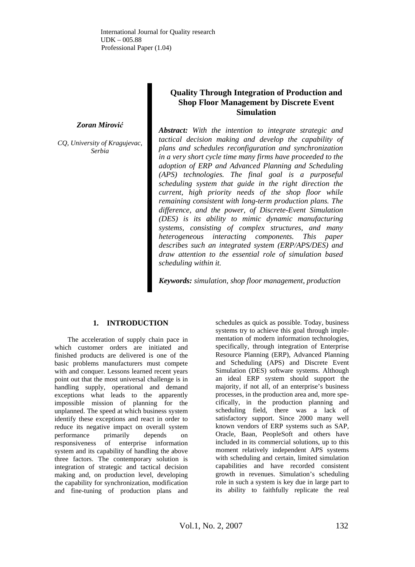International Journal for Quality research UDK – 005.88 Professional Paper (1.04)

#### *Zoran Mirović*

*CQ, University of Kragujevac, Serbia* 

# **Quality Through Integration of Production and Shop Floor Management by Discrete Event Simulation**

*Abstract: With the intention to integrate strategic and tactical decision making and develop the capability of plans and schedules reconfiguration and synchronization in a very short cycle time many firms have proceeded to the adoption of ERP and Advanced Planning and Scheduling (APS) technologies. The final goal is a purposeful scheduling system that guide in the right direction the current, high priority needs of the shop floor while remaining consistent with long-term production plans. The difference, and the power, of Discrete-Event Simulation (DES) is its ability to mimic dynamic manufacturing systems, consisting of complex structures, and many heterogeneous interacting components. This paper describes such an integrated system (ERP/APS/DES) and draw attention to the essential role of simulation based scheduling within it.*

*Keywords: simulation, shop floor management, production*

# **1. INTRODUCTION**

The acceleration of supply chain pace in which customer orders are initiated and finished products are delivered is one of the basic problems manufacturers must compete with and conquer. Lessons learned recent years point out that the most universal challenge is in handling supply, operational and demand exceptions what leads to the apparently impossible mission of planning for the unplanned. The speed at which business system identify these exceptions and react in order to reduce its negative impact on overall system performance primarily depends on responsiveness of enterprise information system and its capability of handling the above three factors. The contemporary solution is integration of strategic and tactical decision making and, on production level, developing the capability for synchronization, modification and fine-tuning of production plans and

schedules as quick as possible. Today, business systems try to achieve this goal through implementation of modern information technologies, specifically, through integration of Enterprise Resource Planning (ERP), Advanced Planning and Scheduling (APS) and Discrete Event Simulation (DES) software systems. Although an ideal ERP system should support the majority, if not all, of an enterprise's business processes, in the production area and, more specifically, in the production planning and scheduling field, there was a lack of satisfactory support. Since 2000 many well known vendors of ERP systems such as SAP, Oracle, Baan, PeopleSoft and others have included in its commercial solutions, up to this moment relatively independent APS systems with scheduling and certain, limited simulation capabilities and have recorded consistent growth in revenues. Simulation's scheduling role in such a system is key due in large part to its ability to faithfully replicate the real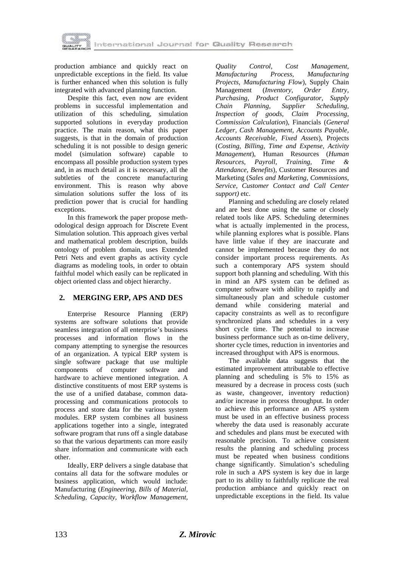

production ambiance and quickly react on unpredictable exceptions in the field. Its value is further enhanced when this solution is fully integrated with advanced planning function.

Despite this fact, even now are evident problems in successful implementation and utilization of this scheduling, simulation supported solutions in everyday production practice. The main reason, what this paper suggests, is that in the domain of production scheduling it is not possible to design generic model (simulation software) capable to encompass all possible production system types and, in as much detail as it is necessary, all the subtleties of the concrete manufacturing environment. This is reason why above simulation solutions suffer the loss of its prediction power that is crucial for handling exceptions.

In this framework the paper propose methodological design approach for Discrete Event Simulation solution. This approach gives verbal and mathematical problem description, builds ontology of problem domain, uses Extended Petri Nets and event graphs as activity cycle diagrams as modeling tools, in order to obtain faithful model which easily can be replicated in object oriented class and object hierarchy.

# **2. MERGING ERP, APS AND DES**

Enterprise Resource Planning (ERP) systems are software solutions that provide seamless integration of all enterprise's business processes and information flows in the company attempting to synergise the resources of an organization. A typical ERP system is single software package that use multiple components of computer software and hardware to achieve mentioned integration. A distinctive constituents of most ERP systems is the use of a unified database, common dataprocessing and communications protocols to process and store data for the various system modules. ERP system combines all business applications together into a single, integrated software program that runs off a single database so that the various departments can more easily share information and communicate with each other.

Ideally, ERP delivers a single database that contains all data for the software modules or business application, which would include: Manufacturing (*Engineering, Bills of Material, Scheduling, Capacity, Workflow Management,* 

*Quality Control, Cost Management, Manufacturing Process, Manufacturing Projects, Manufacturing Flow*), Supply Chain Management (*Inventory, Order Entry, Purchasing, Product Configurator, Supply Chain Planning, Supplier Scheduling, Inspection of goods, Claim Processing, Commission Calculation*), Financials (*General Ledger, Cash Management, Accounts Payable, Accounts Receivable, Fixed Assets*), Projects (*Costing, Billing, Time and Expense, Activity Management*), Human Resources (*Human Resources, Payroll, Training, Time & Attendance, Benefits*), Customer Resources and Marketing (*Sales and Marketing, Commissions, Service, Customer Contact and Call Center support)* etc.

Planning and scheduling are closely related and are best done using the same or closely related tools like APS. Scheduling determines what is actually implemented in the process, while planning explores what is possible. Plans have little value if they are inaccurate and cannot be implemented because they do not consider important process requirements. As such a contemporary APS system should support both planning and scheduling. With this in mind an APS system can be defined as computer software with ability to rapidly and simultaneously plan and schedule customer demand while considering material and capacity constraints as well as to reconfigure synchronized plans and schedules in a very short cycle time. The potential to increase business performance such as on-time delivery, shorter cycle times, reduction in inventories and increased throughput with APS is enormous.

The available data suggests that the estimated improvement attributable to effective planning and scheduling is 5% to 15% as measured by a decrease in process costs (such as waste, changeover, inventory reduction) and/or increase in process throughput. In order to achieve this performance an APS system must be used in an effective business process whereby the data used is reasonably accurate and schedules and plans must be executed with reasonable precision. To achieve consistent results the planning and scheduling process must be repeated when business conditions change significantly. Simulation's scheduling role in such a APS system is key due in large part to its ability to faithfully replicate the real production ambiance and quickly react on unpredictable exceptions in the field. Its value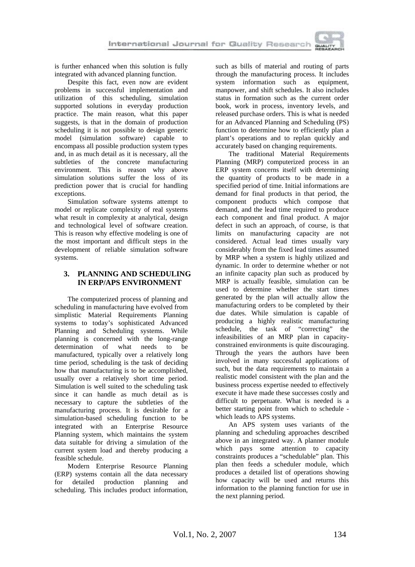

is further enhanced when this solution is fully integrated with advanced planning function.

Despite this fact, even now are evident problems in successful implementation and utilization of this scheduling, simulation supported solutions in everyday production practice. The main reason, what this paper suggests, is that in the domain of production scheduling it is not possible to design generic model (simulation software) capable to encompass all possible production system types and, in as much detail as it is necessary, all the subtleties of the concrete manufacturing environment. This is reason why above simulation solutions suffer the loss of its prediction power that is crucial for handling exceptions.

Simulation software systems attempt to model or replicate complexity of real systems what result in complexity at analytical, design and technological level of software creation. This is reason why effective modeling is one of the most important and difficult steps in the development of reliable simulation software systems.

# **3. PLANNING AND SCHEDULING IN ERP/APS ENVIRONMENT**

The computerized process of planning and scheduling in manufacturing have evolved from simplistic Material Requirements Planning systems to today's sophisticated Advanced Planning and Scheduling systems. While planning is concerned with the long-range determination of what needs to be manufactured, typically over a relatively long time period, scheduling is the task of deciding how that manufacturing is to be accomplished, usually over a relatively short time period. Simulation is well suited to the scheduling task since it can handle as much detail as is necessary to capture the subtleties of the manufacturing process. It is desirable for a simulation-based scheduling function to be integrated with an Enterprise Resource Planning system, which maintains the system data suitable for driving a simulation of the current system load and thereby producing a feasible schedule.

Modern Enterprise Resource Planning (ERP) systems contain all the data necessary for detailed production planning and scheduling. This includes product information, such as bills of material and routing of parts through the manufacturing process. It includes system information such as equipment, manpower, and shift schedules. It also includes status in formation such as the current order book, work in process, inventory levels, and released purchase orders. This is what is needed for an Advanced Planning and Scheduling (PS) function to determine how to efficiently plan a plant's operations and to replan quickly and accurately based on changing requirements.

The traditional Material Requirements Planning (MRP) computerized process in an ERP system concerns itself with determining the quantity of products to be made in a specified period of time. Initial informations are demand for final products in that period, the component products which compose that demand, and the lead time required to produce each component and final product. A major defect in such an approach, of course, is that limits on manufacturing capacity are not considered. Actual lead times usually vary considerably from the fixed lead times assumed by MRP when a system is highly utilized and dynamic. In order to determine whether or not an infinite capacity plan such as produced by MRP is actually feasible, simulation can be used to determine whether the start times generated by the plan will actually allow the manufacturing orders to be completed by their due dates. While simulation is capable of producing a highly realistic manufacturing schedule, the task of "correcting" the infeasibilities of an MRP plan in capacityconstrained environments is quite discouraging. Through the years the authors have been involved in many successful applications of such, but the data requirements to maintain a realistic model consistent with the plan and the business process expertise needed to effectively execute it have made these successes costly and difficult to perpetuate. What is needed is a better starting point from which to schedule which leads to APS systems.

An APS system uses variants of the planning and scheduling approaches described above in an integrated way. A planner module which pays some attention to capacity constraints produces a "schedulable" plan. This plan then feeds a scheduler module, which produces a detailed list of operations showing how capacity will be used and returns this information to the planning function for use in the next planning period.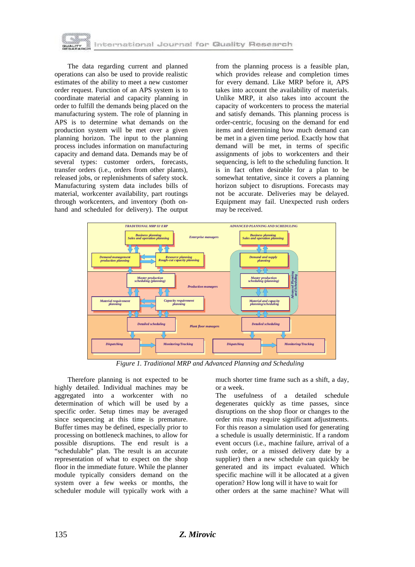

The data regarding current and planned operations can also be used to provide realistic estimates of the ability to meet a new customer order request. Function of an APS system is to coordinate material and capacity planning in order to fulfill the demands being placed on the manufacturing system. The role of planning in APS is to determine what demands on the production system will be met over a given planning horizon. The input to the planning process includes information on manufacturing capacity and demand data. Demands may be of several types: customer orders, forecasts, transfer orders (i.e., orders from other plants), released jobs, or replenishments of safety stock. Manufacturing system data includes bills of material, workcenter availability, part routings through workcenters, and inventory (both onhand and scheduled for delivery). The output

from the planning process is a feasible plan, which provides release and completion times for every demand. Like MRP before it, APS takes into account the availability of materials. Unlike MRP, it also takes into account the capacity of workcenters to process the material and satisfy demands. This planning process is order-centric, focusing on the demand for end items and determining how much demand can be met in a given time period. Exactly how that demand will be met, in terms of specific assignments of jobs to workcenters and their sequencing, is left to the scheduling function. It is in fact often desirable for a plan to be somewhat tentative, since it covers a planning horizon subject to disruptions. Forecasts may not be accurate. Deliveries may be delayed. Equipment may fail. Unexpected rush orders may be received.



*Figure 1. Traditional MRP and Advanced Planning and Scheduling* 

Therefore planning is not expected to be highly detailed. Individual machines may be aggregated into a workcenter with no determination of which will be used by a specific order. Setup times may be averaged since sequencing at this time is premature. Buffer times may be defined, especially prior to processing on bottleneck machines, to allow for possible disruptions. The end result is a "schedulable" plan. The result is an accurate representation of what to expect on the shop floor in the immediate future. While the planner module typically considers demand on the system over a few weeks or months, the scheduler module will typically work with a much shorter time frame such as a shift, a day, or a week.

The usefulness of a detailed schedule degenerates quickly as time passes, since disruptions on the shop floor or changes to the order mix may require significant adjustments. For this reason a simulation used for generating a schedule is usually deterministic. If a random event occurs (i.e., machine failure, arrival of a rush order, or a missed delivery date by a supplier) then a new schedule can quickly be generated and its impact evaluated. Which specific machine will it be allocated at a given operation? How long will it have to wait for other orders at the same machine? What will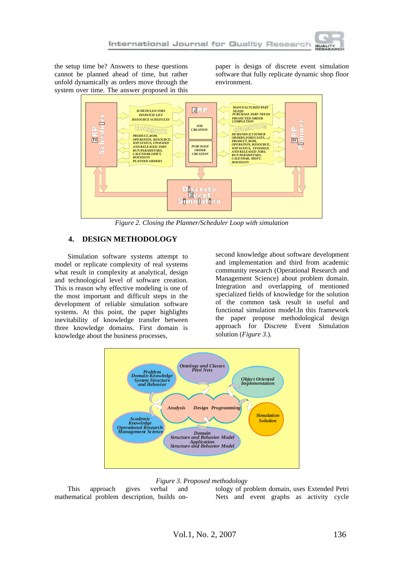

the setup time be? Answers to these questions cannot be planned ahead of time, but rather unfold dynamically as orders move through the system over time. The answer proposed in this

paper is design of discrete event simulation software that fully replicate dynamic shop floor environment.



*Figure 2. Closing the Planner/Scheduler Loop with simulation* 

### **4. DESIGN METHODOLOGY**

Simulation software systems attempt to model or replicate complexity of real systems what result in complexity at analytical, design and technological level of software creation. This is reason why effective modeling is one of the most important and difficult steps in the development of reliable simulation software systems. At this point, the paper highlights inevitability of knowledge transfer between three knowledge domains. First domain is knowledge about the business processes,

second knowledge about software development and implementation and third from academic community research (Operational Research and Management Science) about problem domain. Integration and overlapping of mentioned specialized fields of knowledge for the solution of the common task result in useful and functional simulation model.In this framework the paper propose methodological design approach for Discrete Event Simulation solution (*Figure 3*.).



#### *Figure 3. Proposed methodology*

This approach gives verbal and mathematical problem description, builds ontology of problem domain, uses Extended Petri Nets and event graphs as activity cycle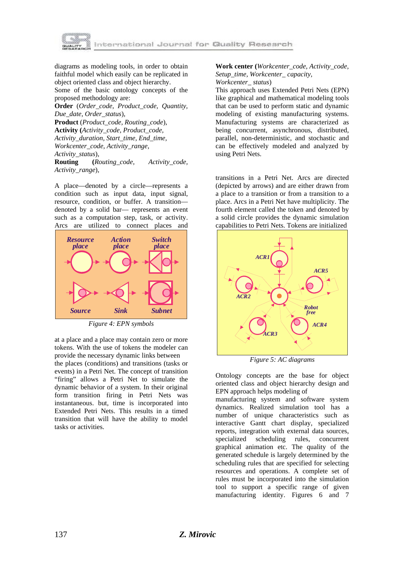

diagrams as modeling tools, in order to obtain faithful model which easily can be replicated in object oriented class and object hierarchy. Some of the basic ontology concepts of the proposed methodology are: **Order** (*Order\_code, Product\_code, Quantity, Due\_date, Order\_status*),

**Product** (*Product\_code, Routing\_code*), **Activity (***Activity\_code, Product\_code, Activity\_duration, Start\_time, End\_time, Workcenter\_code, Activity\_range, Activity\_status*),

**Routing (***Routing\_code, Activity\_code, Activity\_range*),

A place—denoted by a circle—represents a condition such as input data, input signal, resource, condition, or buffer. A transition denoted by a solid bar— represents an event such as a computation step, task, or activity. Arcs are utilized to connect places and



*Figure 4: EPN symbols* 

at a place and a place may contain zero or more tokens. With the use of tokens the modeler can provide the necessary dynamic links between

the places (conditions) and transitions (tasks or events) in a Petri Net. The concept of transition "firing" allows a Petri Net to simulate the dynamic behavior of a system. In their original form transition firing in Petri Nets was instantaneous. but, time is incorporated into Extended Petri Nets. This results in a timed transition that will have the ability to model tasks or activities.

**Work center (***Workcenter\_code, Activity\_code, Setup\_time, Workcenter\_ capacity,* 

*Workcenter\_ status*)

This approach uses Extended Petri Nets (EPN) like graphical and mathematical modeling tools that can be used to perform static and dynamic modeling of existing manufacturing systems. Manufacturing systems are characterized as being concurrent, asynchronous, distributed, parallel, non-deterministic, and stochastic and can be effectively modeled and analyzed by using Petri Nets.

transitions in a Petri Net. Arcs are directed (depicted by arrows) and are either drawn from a place to a transition or from a transition to a place. Arcs in a Petri Net have multiplicity. The fourth element called the token and denoted by a solid circle provides the dynamic simulation capabilities to Petri Nets. Tokens are initialized



*Figure 5: AC diagrams* 

Ontology concepts are the base for object oriented class and object hierarchy design and EPN approach helps modeling of

manufacturing system and software system dynamics. Realized simulation tool has a number of unique characteristics such as interactive Gantt chart display, specialized reports, integration with external data sources, specialized scheduling rules, concurrent graphical animation etc. The quality of the generated schedule is largely determined by the scheduling rules that are specified for selecting resources and operations. A complete set of rules must be incorporated into the simulation tool to support a specific range of given manufacturing identity. Figures 6 and 7